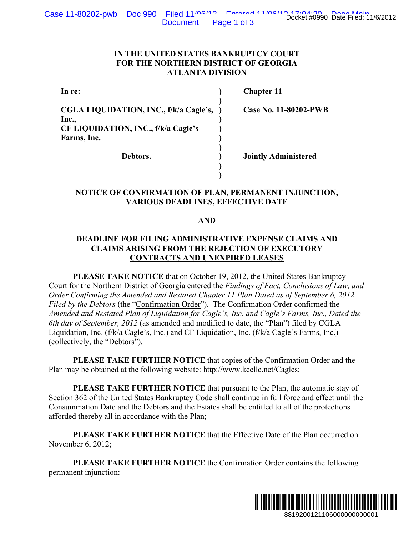**)**

**)**

**) )**

## **IN THE UNITED STATES BANKRUPTCY COURT FOR THE NORTHERN DISTRICT OF GEORGIA ATLANTA DIVISION**

**CGLA LIQUIDATION, INC., f/k/a Cagle's, ) Case No. 11-80202-PWB Inc., ) CF LIQUIDATION, INC., f/k/a Cagle's ) Farms, Inc. )** 

**In re: ) Chapter 11**

**Debtors. ) Jointly Administered**

# **NOTICE OF CONFIRMATION OF PLAN, PERMANENT INJUNCTION, VARIOUS DEADLINES, EFFECTIVE DATE**

## **AND**

# **DEADLINE FOR FILING ADMINISTRATIVE EXPENSE CLAIMS AND CLAIMS ARISING FROM THE REJECTION OF EXECUTORY CONTRACTS AND UNEXPIRED LEASES**

**PLEASE TAKE NOTICE** that on October 19, 2012, the United States Bankruptcy Court for the Northern District of Georgia entered the *Findings of Fact, Conclusions of Law, and Order Confirming the Amended and Restated Chapter 11 Plan Dated as of September 6, 2012 Filed by the Debtors* (the "Confirmation Order"). The Confirmation Order confirmed the *Amended and Restated Plan of Liquidation for Cagle's, Inc. and Cagle's Farms, Inc., Dated the 6th day of September, 2012* (as amended and modified to date, the "Plan") filed by CGLA Liquidation, Inc. (f/k/a Cagle's, Inc.) and CF Liquidation, Inc. (f/k/a Cagle's Farms, Inc.) (collectively, the "Debtors"). Docket #0990 Date Filed: 11/6/2012<br>
URT<br>
SIA<br> **-80202-PWB**<br>
<br> **ENDITE SIA**<br>
<br> **ENDITE SIA**<br>
<br> **ENDITE SIANT SAND**<br> **ENDITE SIANT SAND**<br> **ENDITE SIANT SIANT SIANT SIANT SIZE OF SUBMARY OF LATARY SIZE OF STATES, Inc., Dated** 

**PLEASE TAKE FURTHER NOTICE** that copies of the Confirmation Order and the Plan may be obtained at the following website: http://www.kccllc.net/Cagles;

**PLEASE TAKE FURTHER NOTICE** that pursuant to the Plan, the automatic stay of Section 362 of the United States Bankruptcy Code shall continue in full force and effect until the Consummation Date and the Debtors and the Estates shall be entitled to all of the protections afforded thereby all in accordance with the Plan;

**PLEASE TAKE FURTHER NOTICE** that the Effective Date of the Plan occurred on November 6, 2012;

**PLEASE TAKE FURTHER NOTICE** the Confirmation Order contains the following permanent injunction:

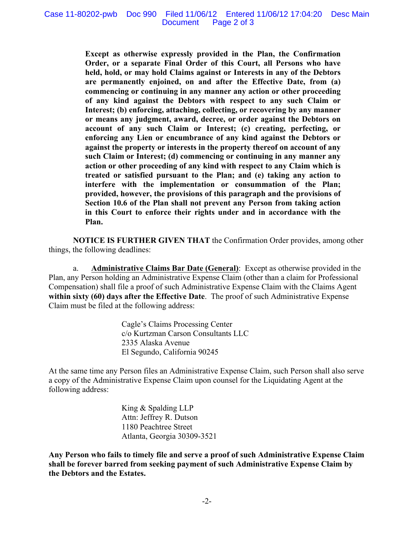**Except as otherwise expressly provided in the Plan, the Confirmation Order, or a separate Final Order of this Court, all Persons who have held, hold, or may hold Claims against or Interests in any of the Debtors are permanently enjoined, on and after the Effective Date, from (a) commencing or continuing in any manner any action or other proceeding of any kind against the Debtors with respect to any such Claim or Interest; (b) enforcing, attaching, collecting, or recovering by any manner or means any judgment, award, decree, or order against the Debtors on account of any such Claim or Interest; (c) creating, perfecting, or enforcing any Lien or encumbrance of any kind against the Debtors or against the property or interests in the property thereof on account of any such Claim or Interest; (d) commencing or continuing in any manner any action or other proceeding of any kind with respect to any Claim which is treated or satisfied pursuant to the Plan; and (e) taking any action to interfere with the implementation or consummation of the Plan; provided, however, the provisions of this paragraph and the provisions of Section 10.6 of the Plan shall not prevent any Person from taking action in this Court to enforce their rights under and in accordance with the Plan.**

**NOTICE IS FURTHER GIVEN THAT** the Confirmation Order provides, among other things, the following deadlines:

a. **Administrative Claims Bar Date (General)**: Except as otherwise provided in the Plan, any Person holding an Administrative Expense Claim (other than a claim for Professional Compensation) shall file a proof of such Administrative Expense Claim with the Claims Agent **within sixty (60) days after the Effective Date**. The proof of such Administrative Expense Claim must be filed at the following address:

> Cagle's Claims Processing Center c/o Kurtzman Carson Consultants LLC 2335 Alaska Avenue El Segundo, California 90245

At the same time any Person files an Administrative Expense Claim, such Person shall also serve a copy of the Administrative Expense Claim upon counsel for the Liquidating Agent at the following address:

> King & Spalding LLP Attn: Jeffrey R. Dutson 1180 Peachtree Street Atlanta, Georgia 30309-3521

**Any Person who fails to timely file and serve a proof of such Administrative Expense Claim shall be forever barred from seeking payment of such Administrative Expense Claim by the Debtors and the Estates.**